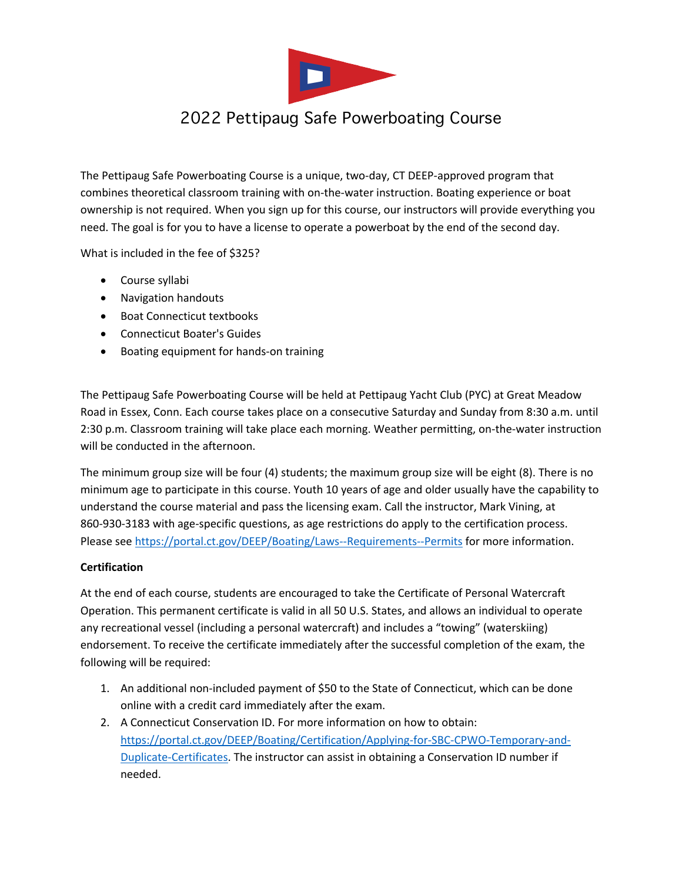

## 2022 Pettipaug Safe Powerboating Course

The Pettipaug Safe Powerboating Course is a unique, two-day, CT DEEP-approved program that combines theoretical classroom training with on-the-water instruction. Boating experience or boat ownership is not required. When you sign up for this course, our instructors will provide everything you need. The goal is for you to have a license to operate a powerboat by the end of the second day.

What is included in the fee of \$325?

- Course syllabi
- Navigation handouts
- Boat Connecticut textbooks
- Connecticut Boater's Guides
- Boating equipment for hands-on training

The Pettipaug Safe Powerboating Course will be held at Pettipaug Yacht Club (PYC) at Great Meadow Road in Essex, Conn. Each course takes place on a consecutive Saturday and Sunday from 8:30 a.m. until 2:30 p.m. Classroom training will take place each morning. Weather permitting, on-the-water instruction will be conducted in the afternoon.

The minimum group size will be four (4) students; the maximum group size will be eight (8). There is no minimum age to participate in this course. Youth 10 years of age and older usually have the capability to understand the course material and pass the licensing exam. Call the instructor, Mark Vining, at 860-930-3183 with age-specific questions, as age restrictions do apply to the certification process. Please see https://portal.ct.gov/DEEP/Boating/Laws--Requirements--Permits for more information.

## **Certification**

At the end of each course, students are encouraged to take the Certificate of Personal Watercraft Operation. This permanent certificate is valid in all 50 U.S. States, and allows an individual to operate any recreational vessel (including a personal watercraft) and includes a "towing" (waterskiing) endorsement. To receive the certificate immediately after the successful completion of the exam, the following will be required:

- 1. An additional non-included payment of \$50 to the State of Connecticut, which can be done online with a credit card immediately after the exam.
- 2. A Connecticut Conservation ID. For more information on how to obtain: https://portal.ct.gov/DEEP/Boating/Certification/Applying-for-SBC-CPWO-Temporary-and-Duplicate-Certificates. The instructor can assist in obtaining a Conservation ID number if needed.